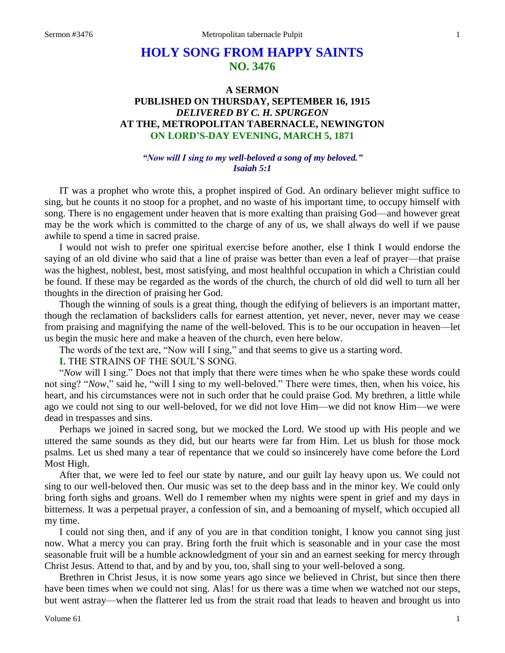# **HOLY SONG FROM HAPPY SAINTS NO. 3476**

## **A SERMON PUBLISHED ON THURSDAY, SEPTEMBER 16, 1915** *DELIVERED BY C. H. SPURGEON* **AT THE, METROPOLITAN TABERNACLE, NEWINGTON ON LORD'S-DAY EVENING, MARCH 5, 1871**

## *"Now will I sing to my well-beloved a song of my beloved." Isaiah 5:1*

IT was a prophet who wrote this, a prophet inspired of God. An ordinary believer might suffice to sing, but he counts it no stoop for a prophet, and no waste of his important time, to occupy himself with song. There is no engagement under heaven that is more exalting than praising God—and however great may be the work which is committed to the charge of any of us, we shall always do well if we pause awhile to spend a time in sacred praise.

I would not wish to prefer one spiritual exercise before another, else I think I would endorse the saying of an old divine who said that a line of praise was better than even a leaf of prayer—that praise was the highest, noblest, best, most satisfying, and most healthful occupation in which a Christian could be found. If these may be regarded as the words of the church, the church of old did well to turn all her thoughts in the direction of praising her God.

Though the winning of souls is a great thing, though the edifying of believers is an important matter, though the reclamation of backsliders calls for earnest attention, yet never, never, never may we cease from praising and magnifying the name of the well-beloved. This is to be our occupation in heaven—let us begin the music here and make a heaven of the church, even here below.

The words of the text are, "Now will I sing," and that seems to give us a starting word.

**I.** THE STRAINS OF THE SOUL'S SONG.

"*Now* will I sing." Does not that imply that there were times when he who spake these words could not sing? "*Now*," said he, "will I sing to my well-beloved." There were times, then, when his voice, his heart, and his circumstances were not in such order that he could praise God. My brethren, a little while ago we could not sing to our well-beloved, for we did not love Him—we did not know Him—we were dead in trespasses and sins.

Perhaps we joined in sacred song, but we mocked the Lord. We stood up with His people and we uttered the same sounds as they did, but our hearts were far from Him. Let us blush for those mock psalms. Let us shed many a tear of repentance that we could so insincerely have come before the Lord Most High.

After that, we were led to feel our state by nature, and our guilt lay heavy upon us. We could not sing to our well-beloved then. Our music was set to the deep bass and in the minor key. We could only bring forth sighs and groans. Well do I remember when my nights were spent in grief and my days in bitterness. It was a perpetual prayer, a confession of sin, and a bemoaning of myself, which occupied all my time.

I could not sing then, and if any of you are in that condition tonight, I know you cannot sing just now. What a mercy you can pray. Bring forth the fruit which is seasonable and in your case the most seasonable fruit will be a humble acknowledgment of your sin and an earnest seeking for mercy through Christ Jesus. Attend to that, and by and by you, too, shall sing to your well-beloved a song.

Brethren in Christ Jesus, it is now some years ago since we believed in Christ, but since then there have been times when we could not sing. Alas! for us there was a time when we watched not our steps, but went astray—when the flatterer led us from the strait road that leads to heaven and brought us into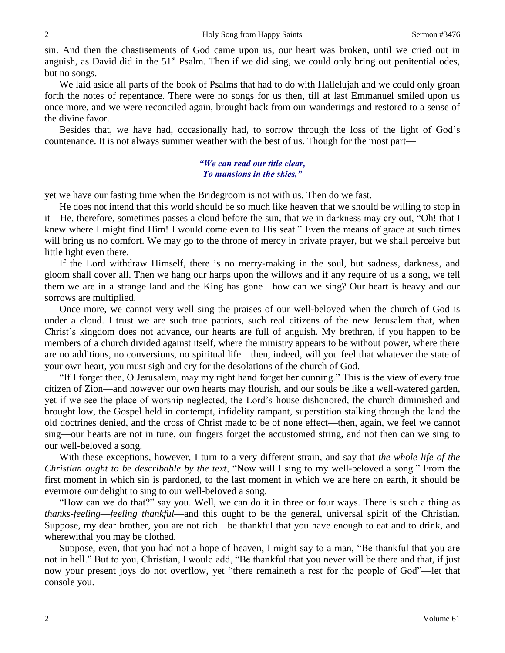sin. And then the chastisements of God came upon us, our heart was broken, until we cried out in anguish, as David did in the  $51<sup>st</sup>$  Psalm. Then if we did sing, we could only bring out penitential odes, but no songs.

We laid aside all parts of the book of Psalms that had to do with Hallelujah and we could only groan forth the notes of repentance. There were no songs for us then, till at last Emmanuel smiled upon us once more, and we were reconciled again, brought back from our wanderings and restored to a sense of the divine favor.

Besides that, we have had, occasionally had, to sorrow through the loss of the light of God's countenance. It is not always summer weather with the best of us. Though for the most part—

## *"We can read our title clear, To mansions in the skies,"*

yet we have our fasting time when the Bridegroom is not with us. Then do we fast.

He does not intend that this world should be so much like heaven that we should be willing to stop in it—He, therefore, sometimes passes a cloud before the sun, that we in darkness may cry out, "Oh! that I knew where I might find Him! I would come even to His seat." Even the means of grace at such times will bring us no comfort. We may go to the throne of mercy in private prayer, but we shall perceive but little light even there.

If the Lord withdraw Himself, there is no merry-making in the soul, but sadness, darkness, and gloom shall cover all. Then we hang our harps upon the willows and if any require of us a song, we tell them we are in a strange land and the King has gone—how can we sing? Our heart is heavy and our sorrows are multiplied.

Once more, we cannot very well sing the praises of our well-beloved when the church of God is under a cloud. I trust we are such true patriots, such real citizens of the new Jerusalem that, when Christ's kingdom does not advance, our hearts are full of anguish. My brethren, if you happen to be members of a church divided against itself, where the ministry appears to be without power, where there are no additions, no conversions, no spiritual life—then, indeed, will you feel that whatever the state of your own heart, you must sigh and cry for the desolations of the church of God.

"If I forget thee, O Jerusalem, may my right hand forget her cunning." This is the view of every true citizen of Zion—and however our own hearts may flourish, and our souls be like a well-watered garden, yet if we see the place of worship neglected, the Lord's house dishonored, the church diminished and brought low, the Gospel held in contempt, infidelity rampant, superstition stalking through the land the old doctrines denied, and the cross of Christ made to be of none effect—then, again, we feel we cannot sing—our hearts are not in tune, our fingers forget the accustomed string, and not then can we sing to our well-beloved a song.

With these exceptions, however, I turn to a very different strain, and say that *the whole life of the Christian ought to be describable by the text*, "Now will I sing to my well-beloved a song." From the first moment in which sin is pardoned, to the last moment in which we are here on earth, it should be evermore our delight to sing to our well-beloved a song.

"How can we do that?" say you. Well, we can do it in three or four ways. There is such a thing as *thanks-feeling*—*feeling thankful*—and this ought to be the general, universal spirit of the Christian. Suppose, my dear brother, you are not rich—be thankful that you have enough to eat and to drink, and wherewithal you may be clothed.

Suppose, even, that you had not a hope of heaven, I might say to a man, "Be thankful that you are not in hell." But to you, Christian, I would add, "Be thankful that you never will be there and that, if just now your present joys do not overflow, yet "there remaineth a rest for the people of God"—let that console you.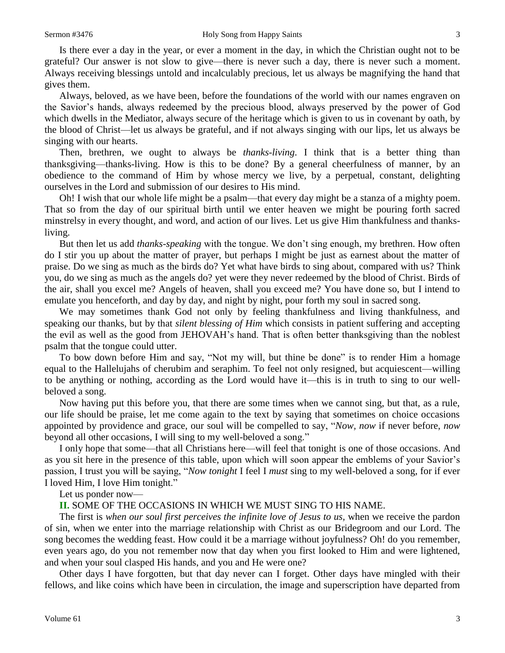Is there ever a day in the year, or ever a moment in the day, in which the Christian ought not to be grateful? Our answer is not slow to give—there is never such a day, there is never such a moment. Always receiving blessings untold and incalculably precious, let us always be magnifying the hand that gives them.

Always, beloved, as we have been, before the foundations of the world with our names engraven on the Savior's hands, always redeemed by the precious blood, always preserved by the power of God which dwells in the Mediator, always secure of the heritage which is given to us in covenant by oath, by the blood of Christ—let us always be grateful, and if not always singing with our lips, let us always be singing with our hearts.

Then, brethren, we ought to always be *thanks-living*. I think that is a better thing than thanksgiving—thanks-living. How is this to be done? By a general cheerfulness of manner, by an obedience to the command of Him by whose mercy we live, by a perpetual, constant, delighting ourselves in the Lord and submission of our desires to His mind.

Oh! I wish that our whole life might be a psalm—that every day might be a stanza of a mighty poem. That so from the day of our spiritual birth until we enter heaven we might be pouring forth sacred minstrelsy in every thought, and word, and action of our lives. Let us give Him thankfulness and thanksliving.

But then let us add *thanks-speaking* with the tongue. We don't sing enough, my brethren. How often do I stir you up about the matter of prayer, but perhaps I might be just as earnest about the matter of praise. Do we sing as much as the birds do? Yet what have birds to sing about, compared with us? Think you, do we sing as much as the angels do? yet were they never redeemed by the blood of Christ. Birds of the air, shall you excel me? Angels of heaven, shall you exceed me? You have done so, but I intend to emulate you henceforth, and day by day, and night by night, pour forth my soul in sacred song.

We may sometimes thank God not only by feeling thankfulness and living thankfulness, and speaking our thanks, but by that *silent blessing of Him* which consists in patient suffering and accepting the evil as well as the good from JEHOVAH's hand. That is often better thanksgiving than the noblest psalm that the tongue could utter.

To bow down before Him and say, "Not my will, but thine be done" is to render Him a homage equal to the Hallelujahs of cherubim and seraphim. To feel not only resigned, but acquiescent—willing to be anything or nothing, according as the Lord would have it—this is in truth to sing to our wellbeloved a song.

Now having put this before you, that there are some times when we cannot sing, but that, as a rule, our life should be praise, let me come again to the text by saying that sometimes on choice occasions appointed by providence and grace, our soul will be compelled to say, "*Now, now* if never before, *now* beyond all other occasions, I will sing to my well-beloved a song."

I only hope that some—that all Christians here—will feel that tonight is one of those occasions. And as you sit here in the presence of this table, upon which will soon appear the emblems of your Savior's passion, I trust you will be saying, "*Now tonight* I feel I *must* sing to my well-beloved a song, for if ever I loved Him, I love Him tonight."

Let us ponder now—

**II.** SOME OF THE OCCASIONS IN WHICH WE MUST SING TO HIS NAME.

The first is *when our soul first perceives the infinite love of Jesus to us,* when we receive the pardon of sin, when we enter into the marriage relationship with Christ as our Bridegroom and our Lord. The song becomes the wedding feast. How could it be a marriage without joyfulness? Oh! do you remember, even years ago, do you not remember now that day when you first looked to Him and were lightened, and when your soul clasped His hands, and you and He were one?

Other days I have forgotten, but that day never can I forget. Other days have mingled with their fellows, and like coins which have been in circulation, the image and superscription have departed from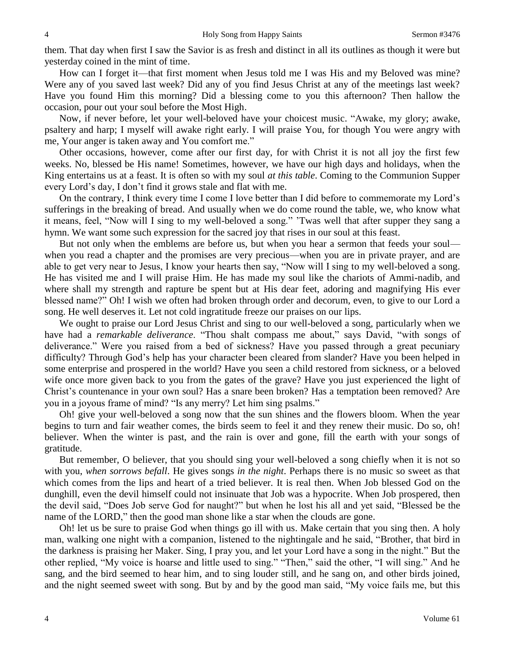them. That day when first I saw the Savior is as fresh and distinct in all its outlines as though it were but yesterday coined in the mint of time.

How can I forget it—that first moment when Jesus told me I was His and my Beloved was mine? Were any of you saved last week? Did any of you find Jesus Christ at any of the meetings last week? Have you found Him this morning? Did a blessing come to you this afternoon? Then hallow the occasion, pour out your soul before the Most High.

Now, if never before, let your well-beloved have your choicest music. "Awake, my glory; awake, psaltery and harp; I myself will awake right early. I will praise You, for though You were angry with me, Your anger is taken away and You comfort me."

Other occasions, however, come after our first day, for with Christ it is not all joy the first few weeks. No, blessed be His name! Sometimes, however, we have our high days and holidays, when the King entertains us at a feast. It is often so with my soul *at this table*. Coming to the Communion Supper every Lord's day, I don't find it grows stale and flat with me.

On the contrary, I think every time I come I love better than I did before to commemorate my Lord's sufferings in the breaking of bread. And usually when we do come round the table, we, who know what it means, feel, "Now will I sing to my well-beloved a song." 'Twas well that after supper they sang a hymn. We want some such expression for the sacred joy that rises in our soul at this feast.

But not only when the emblems are before us, but when you hear a sermon that feeds your soul when you read a chapter and the promises are very precious—when you are in private prayer, and are able to get very near to Jesus, I know your hearts then say, "Now will I sing to my well-beloved a song. He has visited me and I will praise Him. He has made my soul like the chariots of Ammi-nadib, and where shall my strength and rapture be spent but at His dear feet, adoring and magnifying His ever blessed name?" Oh! I wish we often had broken through order and decorum, even, to give to our Lord a song. He well deserves it. Let not cold ingratitude freeze our praises on our lips.

We ought to praise our Lord Jesus Christ and sing to our well-beloved a song, particularly when we have had a *remarkable deliverance*. "Thou shalt compass me about," says David, "with songs of deliverance." Were you raised from a bed of sickness? Have you passed through a great pecuniary difficulty? Through God's help has your character been cleared from slander? Have you been helped in some enterprise and prospered in the world? Have you seen a child restored from sickness, or a beloved wife once more given back to you from the gates of the grave? Have you just experienced the light of Christ's countenance in your own soul? Has a snare been broken? Has a temptation been removed? Are you in a joyous frame of mind? "Is any merry? Let him sing psalms."

Oh! give your well-beloved a song now that the sun shines and the flowers bloom. When the year begins to turn and fair weather comes, the birds seem to feel it and they renew their music. Do so, oh! believer. When the winter is past, and the rain is over and gone, fill the earth with your songs of gratitude.

But remember, O believer, that you should sing your well-beloved a song chiefly when it is not so with you, *when sorrows befall*. He gives songs *in the night*. Perhaps there is no music so sweet as that which comes from the lips and heart of a tried believer. It is real then. When Job blessed God on the dunghill, even the devil himself could not insinuate that Job was a hypocrite. When Job prospered, then the devil said, "Does Job serve God for naught?" but when he lost his all and yet said, "Blessed be the name of the LORD," then the good man shone like a star when the clouds are gone.

Oh! let us be sure to praise God when things go ill with us. Make certain that you sing then. A holy man, walking one night with a companion, listened to the nightingale and he said, "Brother, that bird in the darkness is praising her Maker. Sing, I pray you, and let your Lord have a song in the night." But the other replied, "My voice is hoarse and little used to sing." "Then," said the other, "I will sing." And he sang, and the bird seemed to hear him, and to sing louder still, and he sang on, and other birds joined, and the night seemed sweet with song. But by and by the good man said, "My voice fails me, but this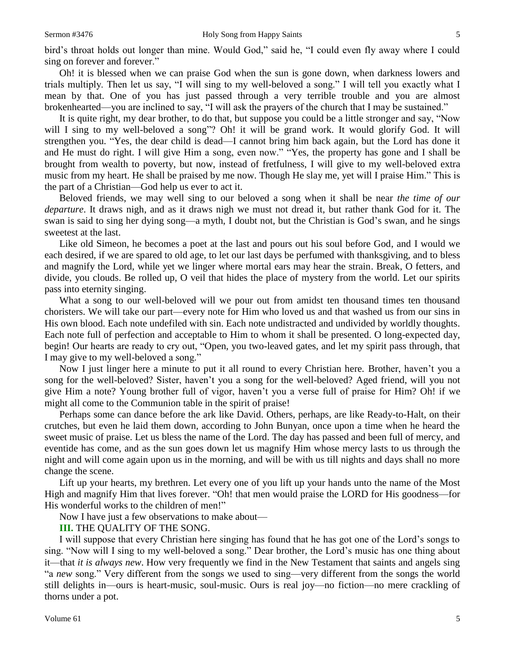bird's throat holds out longer than mine. Would God," said he, "I could even fly away where I could sing on forever and forever."

Oh! it is blessed when we can praise God when the sun is gone down, when darkness lowers and trials multiply. Then let us say, "I will sing to my well-beloved a song." I will tell you exactly what I mean by that. One of you has just passed through a very terrible trouble and you are almost brokenhearted—you are inclined to say, "I will ask the prayers of the church that I may be sustained."

It is quite right, my dear brother, to do that, but suppose you could be a little stronger and say, "Now will I sing to my well-beloved a song"? Oh! it will be grand work. It would glorify God. It will strengthen you. "Yes, the dear child is dead—I cannot bring him back again, but the Lord has done it and He must do right. I will give Him a song, even now." "Yes, the property has gone and I shall be brought from wealth to poverty, but now, instead of fretfulness, I will give to my well-beloved extra music from my heart. He shall be praised by me now. Though He slay me, yet will I praise Him." This is the part of a Christian—God help us ever to act it.

Beloved friends, we may well sing to our beloved a song when it shall be near *the time of our departure*. It draws nigh, and as it draws nigh we must not dread it, but rather thank God for it. The swan is said to sing her dying song—a myth, I doubt not, but the Christian is God's swan, and he sings sweetest at the last.

Like old Simeon, he becomes a poet at the last and pours out his soul before God, and I would we each desired, if we are spared to old age, to let our last days be perfumed with thanksgiving, and to bless and magnify the Lord, while yet we linger where mortal ears may hear the strain. Break, O fetters, and divide, you clouds. Be rolled up, O veil that hides the place of mystery from the world. Let our spirits pass into eternity singing.

What a song to our well-beloved will we pour out from amidst ten thousand times ten thousand choristers. We will take our part—every note for Him who loved us and that washed us from our sins in His own blood. Each note undefiled with sin. Each note undistracted and undivided by worldly thoughts. Each note full of perfection and acceptable to Him to whom it shall be presented. O long-expected day, begin! Our hearts are ready to cry out, "Open, you two-leaved gates, and let my spirit pass through, that I may give to my well-beloved a song."

Now I just linger here a minute to put it all round to every Christian here. Brother, haven't you a song for the well-beloved? Sister, haven't you a song for the well-beloved? Aged friend, will you not give Him a note? Young brother full of vigor, haven't you a verse full of praise for Him? Oh! if we might all come to the Communion table in the spirit of praise!

Perhaps some can dance before the ark like David. Others, perhaps, are like Ready-to-Halt, on their crutches, but even he laid them down, according to John Bunyan, once upon a time when he heard the sweet music of praise. Let us bless the name of the Lord. The day has passed and been full of mercy, and eventide has come, and as the sun goes down let us magnify Him whose mercy lasts to us through the night and will come again upon us in the morning, and will be with us till nights and days shall no more change the scene.

Lift up your hearts, my brethren. Let every one of you lift up your hands unto the name of the Most High and magnify Him that lives forever. "Oh! that men would praise the LORD for His goodness—for His wonderful works to the children of men!"

Now I have just a few observations to make about—

**III.** THE QUALITY OF THE SONG.

I will suppose that every Christian here singing has found that he has got one of the Lord's songs to sing. "Now will I sing to my well-beloved a song." Dear brother, the Lord's music has one thing about it—that *it is always new*. How very frequently we find in the New Testament that saints and angels sing "a *new* song." Very different from the songs we used to sing—very different from the songs the world still delights in—ours is heart-music, soul-music. Ours is real joy—no fiction—no mere crackling of thorns under a pot.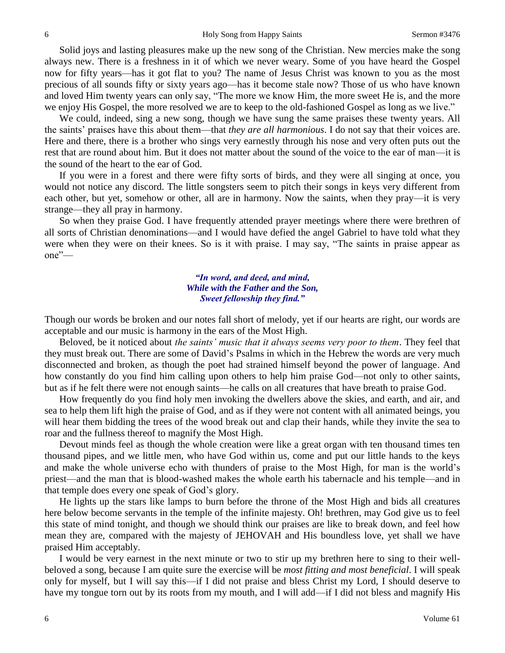Solid joys and lasting pleasures make up the new song of the Christian. New mercies make the song always new. There is a freshness in it of which we never weary. Some of you have heard the Gospel now for fifty years—has it got flat to you? The name of Jesus Christ was known to you as the most precious of all sounds fifty or sixty years ago—has it become stale now? Those of us who have known and loved Him twenty years can only say, "The more we know Him, the more sweet He is, and the more we enjoy His Gospel, the more resolved we are to keep to the old-fashioned Gospel as long as we live."

We could, indeed, sing a new song, though we have sung the same praises these twenty years. All the saints' praises have this about them—that *they are all harmonious*. I do not say that their voices are. Here and there, there is a brother who sings very earnestly through his nose and very often puts out the rest that are round about him. But it does not matter about the sound of the voice to the ear of man—it is the sound of the heart to the ear of God.

If you were in a forest and there were fifty sorts of birds, and they were all singing at once, you would not notice any discord. The little songsters seem to pitch their songs in keys very different from each other, but yet, somehow or other, all are in harmony. Now the saints, when they pray—it is very strange—they all pray in harmony.

So when they praise God. I have frequently attended prayer meetings where there were brethren of all sorts of Christian denominations—and I would have defied the angel Gabriel to have told what they were when they were on their knees. So is it with praise. I may say, "The saints in praise appear as one"—

## *"In word, and deed, and mind, While with the Father and the Son, Sweet fellowship they find."*

Though our words be broken and our notes fall short of melody, yet if our hearts are right, our words are acceptable and our music is harmony in the ears of the Most High.

Beloved, be it noticed about *the saints' music that it always seems very poor to them*. They feel that they must break out. There are some of David's Psalms in which in the Hebrew the words are very much disconnected and broken, as though the poet had strained himself beyond the power of language. And how constantly do you find him calling upon others to help him praise God—not only to other saints, but as if he felt there were not enough saints—he calls on all creatures that have breath to praise God.

How frequently do you find holy men invoking the dwellers above the skies, and earth, and air, and sea to help them lift high the praise of God, and as if they were not content with all animated beings, you will hear them bidding the trees of the wood break out and clap their hands, while they invite the sea to roar and the fullness thereof to magnify the Most High.

Devout minds feel as though the whole creation were like a great organ with ten thousand times ten thousand pipes, and we little men, who have God within us, come and put our little hands to the keys and make the whole universe echo with thunders of praise to the Most High, for man is the world's priest—and the man that is blood-washed makes the whole earth his tabernacle and his temple—and in that temple does every one speak of God's glory.

He lights up the stars like lamps to burn before the throne of the Most High and bids all creatures here below become servants in the temple of the infinite majesty. Oh! brethren, may God give us to feel this state of mind tonight, and though we should think our praises are like to break down, and feel how mean they are, compared with the majesty of JEHOVAH and His boundless love, yet shall we have praised Him acceptably.

I would be very earnest in the next minute or two to stir up my brethren here to sing to their wellbeloved a song, because I am quite sure the exercise will be *most fitting and most beneficial*. I will speak only for myself, but I will say this—if I did not praise and bless Christ my Lord, I should deserve to have my tongue torn out by its roots from my mouth, and I will add—if I did not bless and magnify His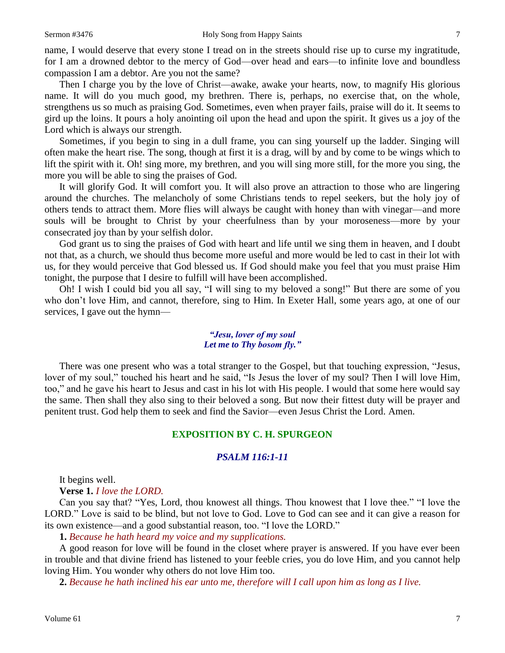name, I would deserve that every stone I tread on in the streets should rise up to curse my ingratitude, for I am a drowned debtor to the mercy of God—over head and ears—to infinite love and boundless compassion I am a debtor. Are you not the same?

Then I charge you by the love of Christ—awake, awake your hearts, now, to magnify His glorious name. It will do you much good, my brethren. There is, perhaps, no exercise that, on the whole, strengthens us so much as praising God. Sometimes, even when prayer fails, praise will do it. It seems to gird up the loins. It pours a holy anointing oil upon the head and upon the spirit. It gives us a joy of the Lord which is always our strength.

Sometimes, if you begin to sing in a dull frame, you can sing yourself up the ladder. Singing will often make the heart rise. The song, though at first it is a drag, will by and by come to be wings which to lift the spirit with it. Oh! sing more, my brethren, and you will sing more still, for the more you sing, the more you will be able to sing the praises of God.

It will glorify God. It will comfort you. It will also prove an attraction to those who are lingering around the churches. The melancholy of some Christians tends to repel seekers, but the holy joy of others tends to attract them. More flies will always be caught with honey than with vinegar—and more souls will be brought to Christ by your cheerfulness than by your moroseness—more by your consecrated joy than by your selfish dolor.

God grant us to sing the praises of God with heart and life until we sing them in heaven, and I doubt not that, as a church, we should thus become more useful and more would be led to cast in their lot with us, for they would perceive that God blessed us. If God should make you feel that you must praise Him tonight, the purpose that I desire to fulfill will have been accomplished.

Oh! I wish I could bid you all say, "I will sing to my beloved a song!" But there are some of you who don't love Him, and cannot, therefore, sing to Him. In Exeter Hall, some years ago, at one of our services, I gave out the hymn—

#### *"Jesu, lover of my soul Let me to Thy bosom fly."*

There was one present who was a total stranger to the Gospel, but that touching expression, "Jesus, lover of my soul," touched his heart and he said, "Is Jesus the lover of my soul? Then I will love Him, too," and he gave his heart to Jesus and cast in his lot with His people. I would that some here would say the same. Then shall they also sing to their beloved a song. But now their fittest duty will be prayer and penitent trust. God help them to seek and find the Savior—even Jesus Christ the Lord. Amen.

## **EXPOSITION BY C. H. SPURGEON**

## *PSALM 116:1-11*

It begins well.

**Verse 1.** *I love the LORD.*

Can you say that? "Yes, Lord, thou knowest all things. Thou knowest that I love thee." "I love the LORD." Love is said to be blind, but not love to God. Love to God can see and it can give a reason for its own existence—and a good substantial reason, too. "I love the LORD."

**1.** *Because he hath heard my voice and my supplications.* 

A good reason for love will be found in the closet where prayer is answered. If you have ever been in trouble and that divine friend has listened to your feeble cries, you do love Him, and you cannot help loving Him. You wonder why others do not love Him too.

**2.** *Because he hath inclined his ear unto me, therefore will I call upon him as long as I live.*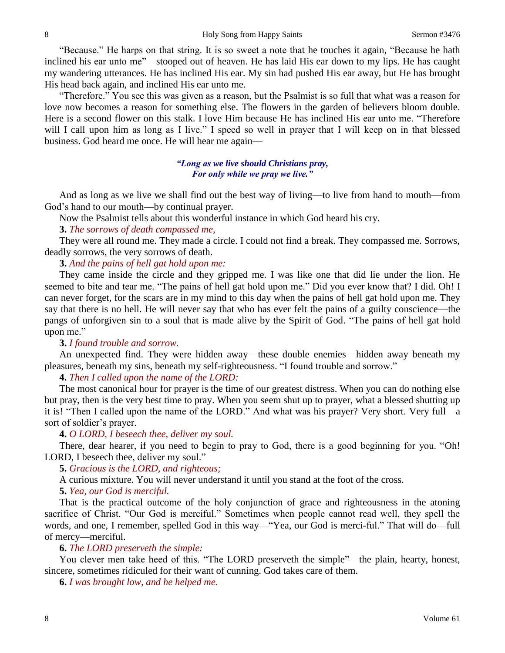"Because." He harps on that string. It is so sweet a note that he touches it again, "Because he hath inclined his ear unto me"—stooped out of heaven. He has laid His ear down to my lips. He has caught my wandering utterances. He has inclined His ear. My sin had pushed His ear away, but He has brought His head back again, and inclined His ear unto me.

"Therefore." You see this was given as a reason, but the Psalmist is so full that what was a reason for love now becomes a reason for something else. The flowers in the garden of believers bloom double. Here is a second flower on this stalk. I love Him because He has inclined His ear unto me. "Therefore will I call upon him as long as I live." I speed so well in prayer that I will keep on in that blessed business. God heard me once. He will hear me again—

## *"Long as we live should Christians pray, For only while we pray we live."*

And as long as we live we shall find out the best way of living—to live from hand to mouth—from God's hand to our mouth—by continual prayer.

Now the Psalmist tells about this wonderful instance in which God heard his cry.

## **3.** *The sorrows of death compassed me,*

They were all round me. They made a circle. I could not find a break. They compassed me. Sorrows, deadly sorrows, the very sorrows of death.

## **3.** *And the pains of hell gat hold upon me:*

They came inside the circle and they gripped me. I was like one that did lie under the lion. He seemed to bite and tear me. "The pains of hell gat hold upon me." Did you ever know that? I did. Oh! I can never forget, for the scars are in my mind to this day when the pains of hell gat hold upon me. They say that there is no hell. He will never say that who has ever felt the pains of a guilty conscience—the pangs of unforgiven sin to a soul that is made alive by the Spirit of God. "The pains of hell gat hold upon me."

#### **3.** *I found trouble and sorrow.*

An unexpected find. They were hidden away—these double enemies—hidden away beneath my pleasures, beneath my sins, beneath my self-righteousness. "I found trouble and sorrow."

**4.** *Then I called upon the name of the LORD:*

The most canonical hour for prayer is the time of our greatest distress. When you can do nothing else but pray, then is the very best time to pray. When you seem shut up to prayer, what a blessed shutting up it is! "Then I called upon the name of the LORD." And what was his prayer? Very short. Very full—a sort of soldier's prayer.

#### **4.** *O LORD, I beseech thee, deliver my soul.*

There, dear hearer, if you need to begin to pray to God, there is a good beginning for you. "Oh! LORD, I beseech thee, deliver my soul."

**5.** *Gracious is the LORD, and righteous;*

A curious mixture. You will never understand it until you stand at the foot of the cross.

**5.** *Yea, our God is merciful.* 

That is the practical outcome of the holy conjunction of grace and righteousness in the atoning sacrifice of Christ. "Our God is merciful." Sometimes when people cannot read well, they spell the words, and one, I remember, spelled God in this way—"Yea, our God is merci-ful." That will do—full of mercy—merciful.

## **6.** *The LORD preserveth the simple:*

You clever men take heed of this. "The LORD preserveth the simple"—the plain, hearty, honest, sincere, sometimes ridiculed for their want of cunning. God takes care of them.

**6.** *I was brought low, and he helped me.*